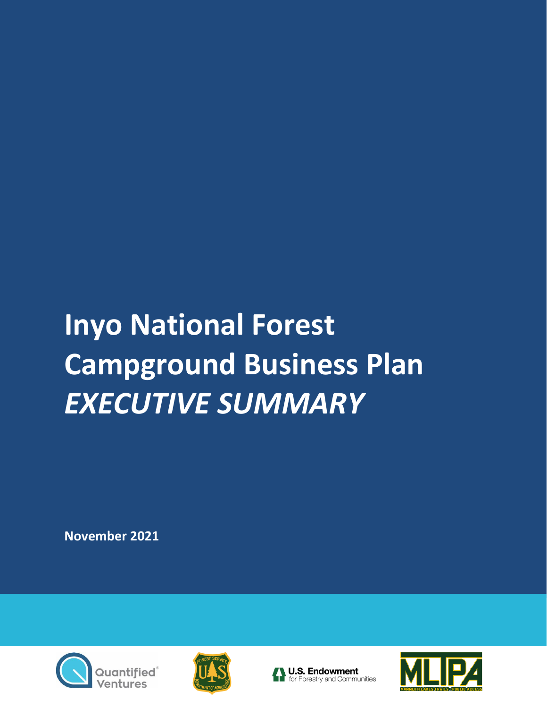## **Inyo National Forest Campground Business Plan** *EXECUTIVE SUMMARY*

**November 2021**







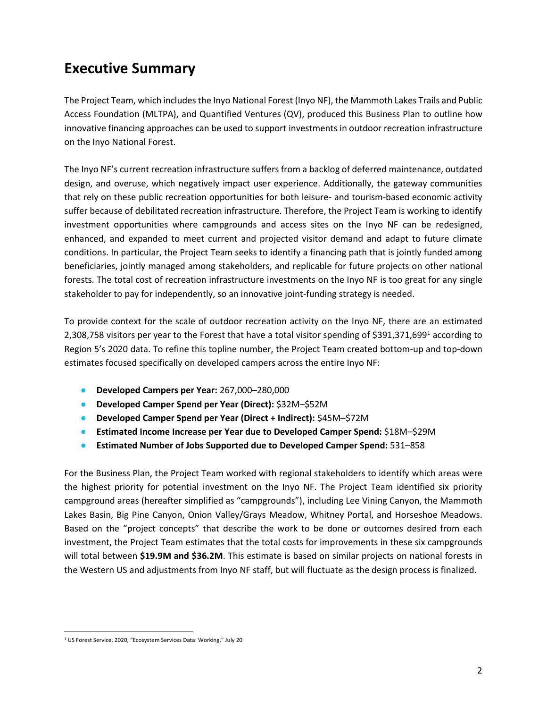## **Executive Summary**

The Project Team, which includes the Inyo National Forest (Inyo NF), the Mammoth Lakes Trails and Public Access Foundation (MLTPA), and Quantified Ventures (QV), produced this Business Plan to outline how innovative financing approaches can be used to support investments in outdoor recreation infrastructure on the Inyo National Forest.

The Inyo NF's current recreation infrastructure suffers from a backlog of deferred maintenance, outdated design, and overuse, which negatively impact user experience. Additionally, the gateway communities that rely on these public recreation opportunities for both leisure- and tourism-based economic activity suffer because of debilitated recreation infrastructure. Therefore, the Project Team is working to identify investment opportunities where campgrounds and access sites on the Inyo NF can be redesigned, enhanced, and expanded to meet current and projected visitor demand and adapt to future climate conditions. In particular, the Project Team seeks to identify a financing path that is jointly funded among beneficiaries, jointly managed among stakeholders, and replicable for future projects on other national forests. The total cost of recreation infrastructure investments on the Inyo NF is too great for any single stakeholder to pay for independently, so an innovative joint-funding strategy is needed.

To provide context for the scale of outdoor recreation activity on the Inyo NF, there are an estimated 2,308,758 visitors per year to the Forest that have a total visitor spending of \$391,371,699<sup>1</sup> according to Region 5's 2020 data. To refine this topline number, the Project Team created bottom-up and top-down estimates focused specifically on developed campers across the entire Inyo NF:

- **Developed Campers per Year:** 267,000–280,000
- **Developed Camper Spend per Year (Direct):** \$32M–\$52M
- **Developed Camper Spend per Year (Direct + Indirect):** \$45M–\$72M
- **Estimated Income Increase per Year due to Developed Camper Spend:** \$18M–\$29M
- **Estimated Number of Jobs Supported due to Developed Camper Spend:** 531–858

For the Business Plan, the Project Team worked with regional stakeholders to identify which areas were the highest priority for potential investment on the Inyo NF. The Project Team identified six priority campground areas (hereafter simplified as "campgrounds"), including Lee Vining Canyon, the Mammoth Lakes Basin, Big Pine Canyon, Onion Valley/Grays Meadow, Whitney Portal, and Horseshoe Meadows. Based on the "project concepts" that describe the work to be done or outcomes desired from each investment, the Project Team estimates that the total costs for improvements in these six campgrounds will total between **\$19.9M and \$36.2M**. This estimate is based on similar projects on national forests in the Western US and adjustments from Inyo NF staff, but will fluctuate as the design process is finalized.

<sup>1</sup> US Forest Service, 2020, "Ecosystem Services Data: Working," July 20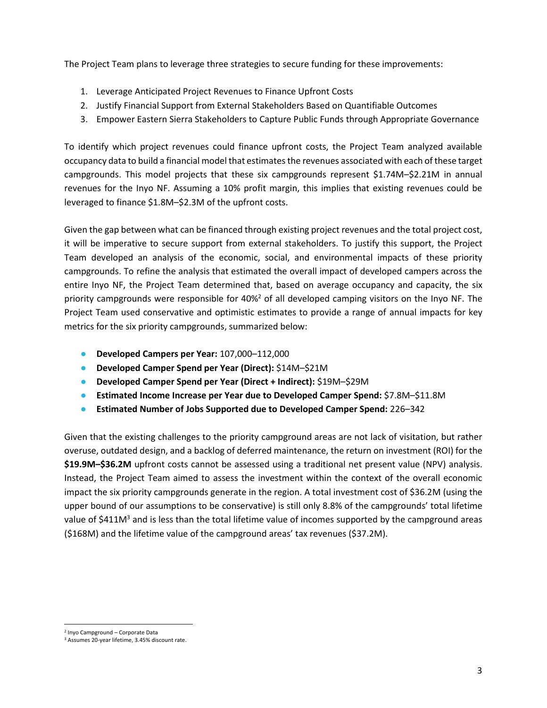The Project Team plans to leverage three strategies to secure funding for these improvements:

- 1. Leverage Anticipated Project Revenues to Finance Upfront Costs
- 2. Justify Financial Support from External Stakeholders Based on Quantifiable Outcomes
- 3. Empower Eastern Sierra Stakeholders to Capture Public Funds through Appropriate Governance

To identify which project revenues could finance upfront costs, the Project Team analyzed available occupancy data to build a financial model that estimates the revenues associated with each of these target campgrounds. This model projects that these six campgrounds represent \$1.74M–\$2.21M in annual revenues for the Inyo NF. Assuming a 10% profit margin, this implies that existing revenues could be leveraged to finance \$1.8M–\$2.3M of the upfront costs.

Given the gap between what can be financed through existing project revenues and the total project cost, it will be imperative to secure support from external stakeholders. To justify this support, the Project Team developed an analysis of the economic, social, and environmental impacts of these priority campgrounds. To refine the analysis that estimated the overall impact of developed campers across the entire Inyo NF, the Project Team determined that, based on average occupancy and capacity, the six priority campgrounds were responsible for 40%<sup>2</sup> of all developed camping visitors on the Inyo NF. The Project Team used conservative and optimistic estimates to provide a range of annual impacts for key metrics for the six priority campgrounds, summarized below:

- **Developed Campers per Year:** 107,000–112,000
- **Developed Camper Spend per Year (Direct):** \$14M–\$21M
- **Developed Camper Spend per Year (Direct + Indirect):** \$19M–\$29M
- **Estimated Income Increase per Year due to Developed Camper Spend:** \$7.8M–\$11.8M
- **Estimated Number of Jobs Supported due to Developed Camper Spend:** 226–342

Given that the existing challenges to the priority campground areas are not lack of visitation, but rather overuse, outdated design, and a backlog of deferred maintenance, the return on investment (ROI) for the **\$19.9M–\$36.2M** upfront costs cannot be assessed using a traditional net present value (NPV) analysis. Instead, the Project Team aimed to assess the investment within the context of the overall economic impact the six priority campgrounds generate in the region. A total investment cost of \$36.2M (using the upper bound of our assumptions to be conservative) is still only 8.8% of the campgrounds' total lifetime value of \$411M<sup>3</sup> and is less than the total lifetime value of incomes supported by the campground areas (\$168M) and the lifetime value of the campground areas' tax revenues (\$37.2M).

<sup>2</sup> Inyo Campground – Corporate Data

<sup>3</sup> Assumes 20-year lifetime, 3.45% discount rate.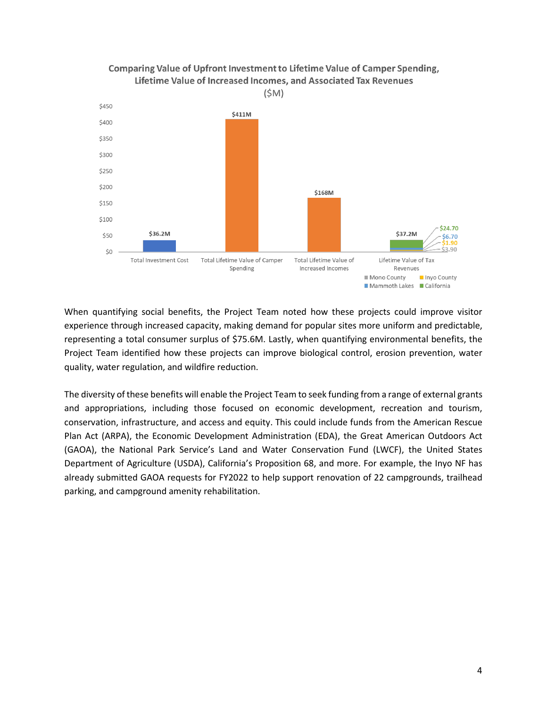

## Comparing Value of Upfront Investment to Lifetime Value of Camper Spending, Lifetime Value of Increased Incomes, and Associated Tax Revenues

When quantifying social benefits, the Project Team noted how these projects could improve visitor experience through increased capacity, making demand for popular sites more uniform and predictable, representing a total consumer surplus of \$75.6M. Lastly, when quantifying environmental benefits, the Project Team identified how these projects can improve biological control, erosion prevention, water quality, water regulation, and wildfire reduction.

The diversity of these benefits will enable the Project Team to seek funding from a range of external grants and appropriations, including those focused on economic development, recreation and tourism, conservation, infrastructure, and access and equity. This could include funds from the American Rescue Plan Act (ARPA), the Economic Development Administration (EDA), the Great American Outdoors Act (GAOA), the National Park Service's Land and Water Conservation Fund (LWCF), the United States Department of Agriculture (USDA), California's Proposition 68, and more. For example, the Inyo NF has already submitted GAOA requests for FY2022 to help support renovation of 22 campgrounds, trailhead parking, and campground amenity rehabilitation.